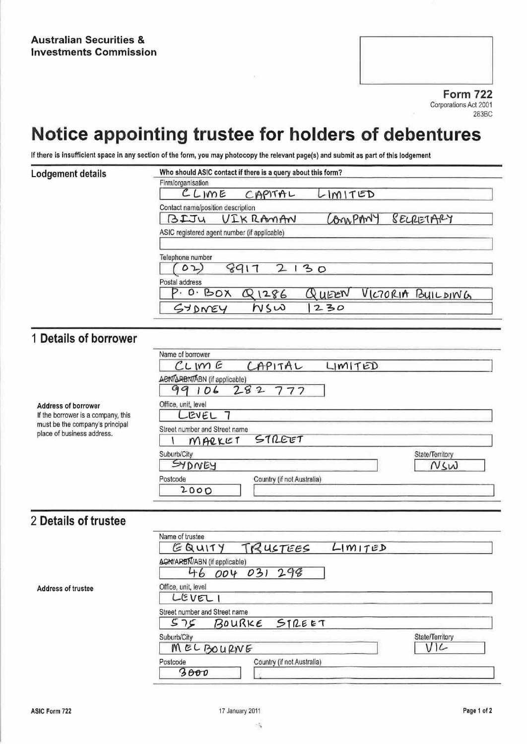**Form 722** Corporations Act 2001 283BC

# Notice appointing trustee for holders of debentures

If there is insufficient space in any section of the form, you may photocopy the relevant page(s) and submit as part of this lodgement

#### Lodgement details

| CLIME                                                                              | CAPITAL  | LIMITED |                         |
|------------------------------------------------------------------------------------|----------|---------|-------------------------|
|                                                                                    |          |         |                         |
| Contact name/position description                                                  |          |         |                         |
| BIJU                                                                               | VIKRAMAN | An PAN  | <b><i>SELRETARY</i></b> |
|                                                                                    |          |         |                         |
|                                                                                    |          |         |                         |
|                                                                                    |          |         |                         |
|                                                                                    |          | 30      |                         |
| ASIC registered agent number (if applicable)<br>Telephone number<br>Postal address |          |         |                         |

### 1 Details of borrower

Address of borrower If the borrower is a company, this must be the company's principal place of business address.

| Name of borrower                    |                            |         |                 |
|-------------------------------------|----------------------------|---------|-----------------|
| $CUME$ $CAPITAL$                    |                            | LIMITED |                 |
| <b>ACNTARBNTABN</b> (if applicable) |                            |         |                 |
| 99106                               | 282777                     |         |                 |
| Office, unit, level                 |                            |         |                 |
| LEVEL                               |                            |         |                 |
| Street number and Street name       |                            |         |                 |
| MARKET                              | STREET                     |         |                 |
| Suburb/City                         |                            |         | State/Territory |
| SYDNEY                              |                            |         | NSW             |
| Postcode                            | Country (if not Australia) |         |                 |
| 2000                                |                            |         |                 |

## 2 Details of trustee

**Address of trustee** 

|                                     | GQUITY TRUSTEES            | LIMITED |                 |
|-------------------------------------|----------------------------|---------|-----------------|
| <b>AGN/ARBN/ABN</b> (if applicable) | 46 004 031 298             |         |                 |
| Office, unit, level<br>LEVELI       |                            |         |                 |
| Street number and Street name       | 575 BOURKE STREET          |         |                 |
| Suburb/City                         |                            |         | State/Territory |
| MELBOURNE                           |                            |         | $V$ ار          |
| Postcode                            | Country (if not Australia) |         |                 |